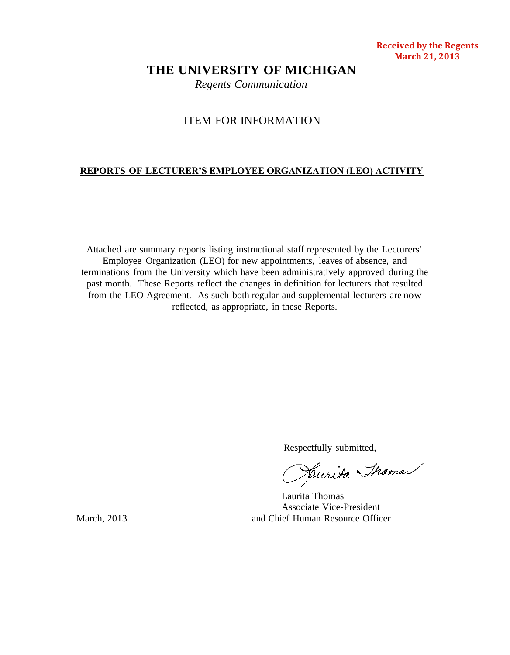#### **Received by the Regents March 21, 2013**

# **THE UNIVERSITY OF MICHIGAN**

*Regents Communication*

# ITEM FOR INFORMATION

## **REPORTS OF LECTURER'S EMPLOYEE ORGANIZATION (LEO) ACTIVITY**

Attached are summary reports listing instructional staff represented by the Lecturers' Employee Organization (LEO) for new appointments, leaves of absence, and terminations from the University which have been administratively approved during the past month. These Reports reflect the changes in definition for lecturers that resulted from the LEO Agreement. As such both regular and supplemental lecturers are now reflected, as appropriate, in these Reports.

Respectfully submitted,<br>Juliista Shaman

Laurita Thomas Associate Vice-President March, 2013 and Chief Human Resource Officer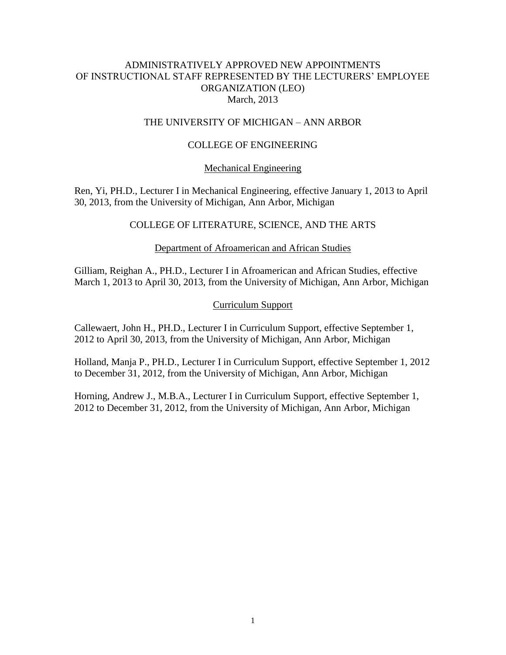# ADMINISTRATIVELY APPROVED NEW APPOINTMENTS OF INSTRUCTIONAL STAFF REPRESENTED BY THE LECTURERS' EMPLOYEE ORGANIZATION (LEO) March, 2013

## THE UNIVERSITY OF MICHIGAN – ANN ARBOR

## COLLEGE OF ENGINEERING

#### Mechanical Engineering

Ren, Yi, PH.D., Lecturer I in Mechanical Engineering, effective January 1, 2013 to April 30, 2013, from the University of Michigan, Ann Arbor, Michigan

## COLLEGE OF LITERATURE, SCIENCE, AND THE ARTS

#### Department of Afroamerican and African Studies

Gilliam, Reighan A., PH.D., Lecturer I in Afroamerican and African Studies, effective March 1, 2013 to April 30, 2013, from the University of Michigan, Ann Arbor, Michigan

## Curriculum Support

Callewaert, John H., PH.D., Lecturer I in Curriculum Support, effective September 1, 2012 to April 30, 2013, from the University of Michigan, Ann Arbor, Michigan

Holland, Manja P., PH.D., Lecturer I in Curriculum Support, effective September 1, 2012 to December 31, 2012, from the University of Michigan, Ann Arbor, Michigan

Horning, Andrew J., M.B.A., Lecturer I in Curriculum Support, effective September 1, 2012 to December 31, 2012, from the University of Michigan, Ann Arbor, Michigan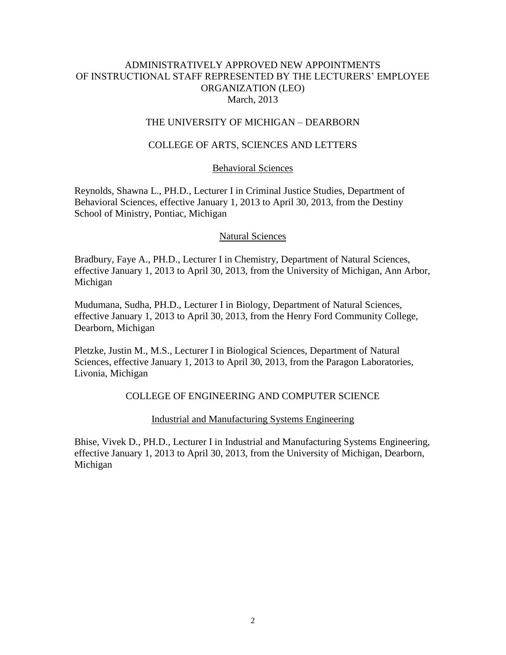# ADMINISTRATIVELY APPROVED NEW APPOINTMENTS OF INSTRUCTIONAL STAFF REPRESENTED BY THE LECTURERS' EMPLOYEE ORGANIZATION (LEO) March, 2013

## THE UNIVERSITY OF MICHIGAN – DEARBORN

## COLLEGE OF ARTS, SCIENCES AND LETTERS

#### Behavioral Sciences

Reynolds, Shawna L., PH.D., Lecturer I in Criminal Justice Studies, Department of Behavioral Sciences, effective January 1, 2013 to April 30, 2013, from the Destiny School of Ministry, Pontiac, Michigan

#### Natural Sciences

Bradbury, Faye A., PH.D., Lecturer I in Chemistry, Department of Natural Sciences, effective January 1, 2013 to April 30, 2013, from the University of Michigan, Ann Arbor, Michigan

Mudumana, Sudha, PH.D., Lecturer I in Biology, Department of Natural Sciences, effective January 1, 2013 to April 30, 2013, from the Henry Ford Community College, Dearborn, Michigan

Pletzke, Justin M., M.S., Lecturer I in Biological Sciences, Department of Natural Sciences, effective January 1, 2013 to April 30, 2013, from the Paragon Laboratories, Livonia, Michigan

## COLLEGE OF ENGINEERING AND COMPUTER SCIENCE

#### Industrial and Manufacturing Systems Engineering

Bhise, Vivek D., PH.D., Lecturer I in Industrial and Manufacturing Systems Engineering, effective January 1, 2013 to April 30, 2013, from the University of Michigan, Dearborn, Michigan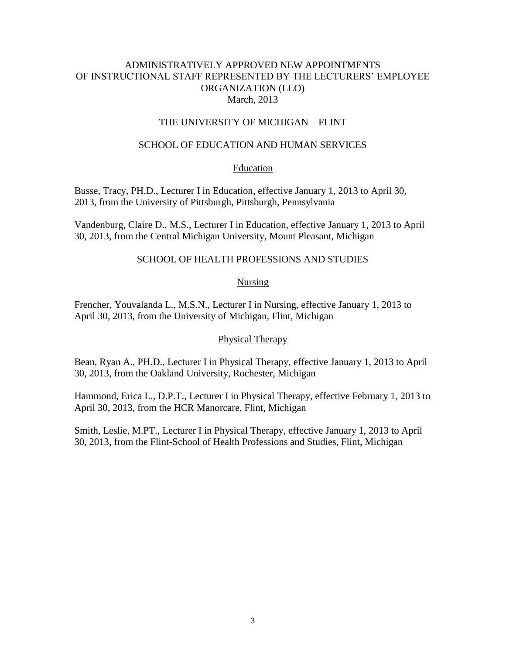# ADMINISTRATIVELY APPROVED NEW APPOINTMENTS OF INSTRUCTIONAL STAFF REPRESENTED BY THE LECTURERS' EMPLOYEE ORGANIZATION (LEO) March, 2013

## THE UNIVERSITY OF MICHIGAN – FLINT

## SCHOOL OF EDUCATION AND HUMAN SERVICES

## **Education**

Busse, Tracy, PH.D., Lecturer I in Education, effective January 1, 2013 to April 30, 2013, from the University of Pittsburgh, Pittsburgh, Pennsylvania

Vandenburg, Claire D., M.S., Lecturer I in Education, effective January 1, 2013 to April 30, 2013, from the Central Michigan University, Mount Pleasant, Michigan

## SCHOOL OF HEALTH PROFESSIONS AND STUDIES

## **Nursing**

Frencher, Youvalanda L., M.S.N., Lecturer I in Nursing, effective January 1, 2013 to April 30, 2013, from the University of Michigan, Flint, Michigan

#### Physical Therapy

Bean, Ryan A., PH.D., Lecturer I in Physical Therapy, effective January 1, 2013 to April 30, 2013, from the Oakland University, Rochester, Michigan

Hammond, Erica L., D.P.T., Lecturer I in Physical Therapy, effective February 1, 2013 to April 30, 2013, from the HCR Manorcare, Flint, Michigan

Smith, Leslie, M.PT., Lecturer I in Physical Therapy, effective January 1, 2013 to April 30, 2013, from the Flint-School of Health Professions and Studies, Flint, Michigan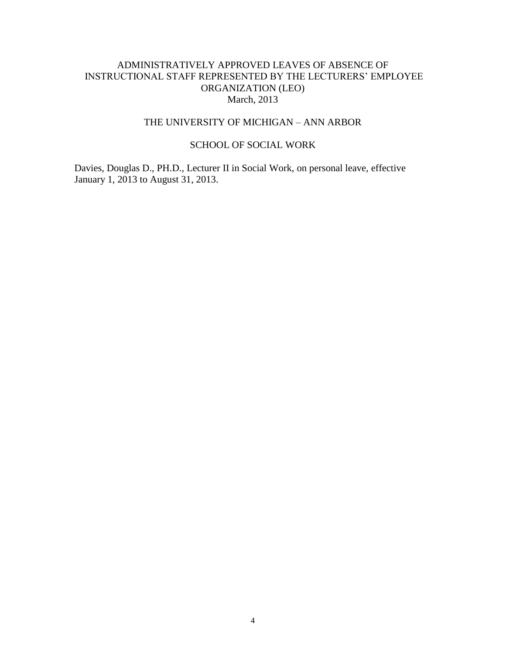# ADMINISTRATIVELY APPROVED LEAVES OF ABSENCE OF INSTRUCTIONAL STAFF REPRESENTED BY THE LECTURERS' EMPLOYEE ORGANIZATION (LEO) March, 2013

# THE UNIVERSITY OF MICHIGAN – ANN ARBOR

## SCHOOL OF SOCIAL WORK

Davies, Douglas D., PH.D., Lecturer II in Social Work, on personal leave, effective January 1, 2013 to August 31, 2013.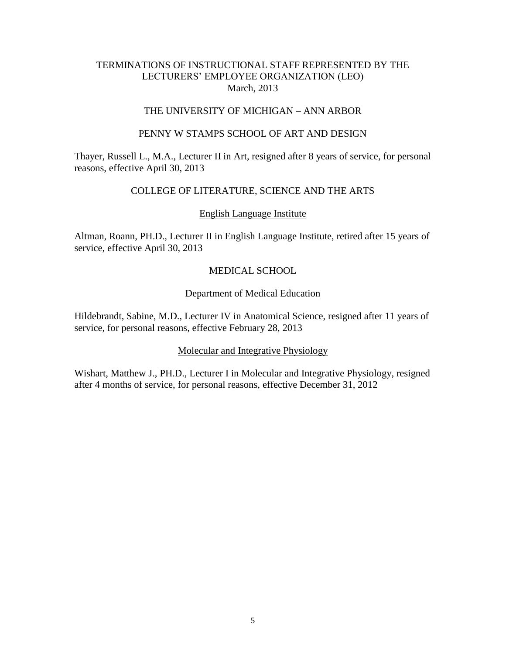## TERMINATIONS OF INSTRUCTIONAL STAFF REPRESENTED BY THE LECTURERS' EMPLOYEE ORGANIZATION (LEO) March, 2013

## THE UNIVERSITY OF MICHIGAN – ANN ARBOR

## PENNY W STAMPS SCHOOL OF ART AND DESIGN

Thayer, Russell L., M.A., Lecturer II in Art, resigned after 8 years of service, for personal reasons, effective April 30, 2013

# COLLEGE OF LITERATURE, SCIENCE AND THE ARTS

## English Language Institute

Altman, Roann, PH.D., Lecturer II in English Language Institute, retired after 15 years of service, effective April 30, 2013

# MEDICAL SCHOOL

## Department of Medical Education

Hildebrandt, Sabine, M.D., Lecturer IV in Anatomical Science, resigned after 11 years of service, for personal reasons, effective February 28, 2013

# Molecular and Integrative Physiology

Wishart, Matthew J., PH.D., Lecturer I in Molecular and Integrative Physiology, resigned after 4 months of service, for personal reasons, effective December 31, 2012